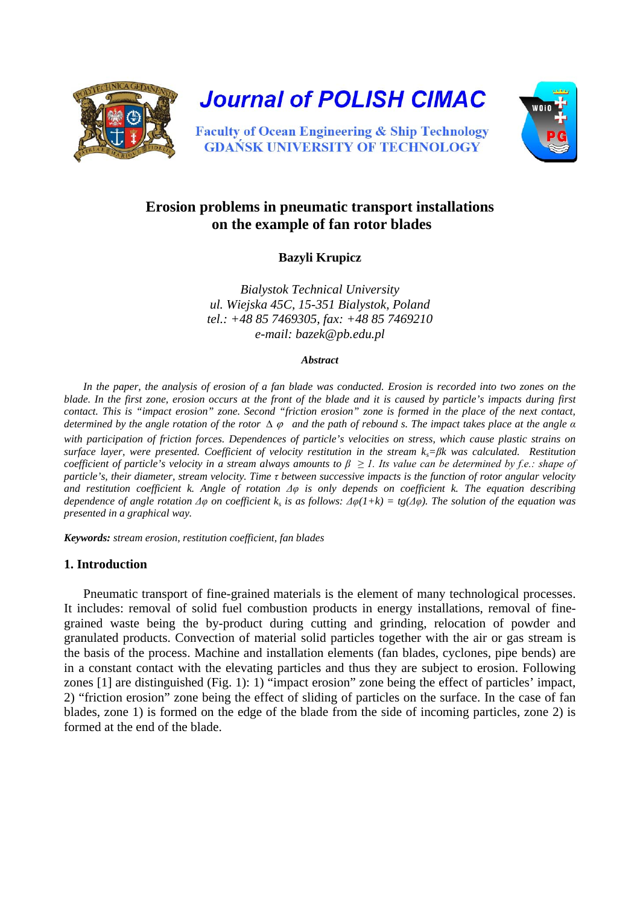

**Journal of POLISH CIMAC** 



**Faculty of Ocean Engineering & Ship Technology GDANSK UNIVERSITY OF TECHNOLOGY** 

# **Erosion problems in pneumatic transport installations on the example of fan rotor blades**

**Bazyli Krupicz**

*Bialystok Technical University ul. Wiejska 45C, 15-351 Bialystok, Poland tel.: +48 85 7469305, fax: +48 85 7469210 e-mail: [bazek@pb.edu.pl](mailto:bazek@pb.edu.pl)*

#### *Abstract*

*In the paper, the analysis of erosion of a fan blade was conducted. Erosion is recorded into two zones on the blade. In the first zone, erosion occurs at the front of the blade and it is caused by particle's impacts during first contact. This is "impact erosion" zone. Second "friction erosion" zone is formed in the place of the next contact, determined by the angle rotation of the rotor* ∆ <sup>ϕ</sup> *and the path of rebound s. The impact takes place at the angle α with participation of friction forces. Dependences of particle's velocities on stress, which cause plastic strains on surface layer, were presented. Coefficient of velocity restitution in the stream ks=βk was calculated. Restitution coefficient of particle's velocity in a stream always amounts to*  $\beta \geq 1$ *. Its value can be determined by f.e.: shape of particle's, their diameter, stream velocity. Time τ between successive impacts is the function of rotor angular velocity and restitution coefficient k. Angle of rotation Δφ is only depends on coefficient k. The equation describing dependence of angle rotation*  $\Delta \varphi$  *on coefficient* k<sub>s</sub> *is as follows:*  $\Delta \varphi(1+k) = tg(\Delta \varphi)$ . The solution of the equation was *presented in a graphical way.*

*Keywords: stream erosion, restitution coefficient, fan blades*

# **1. Introduction**

Pneumatic transport of fine-grained materials is the element of many technological processes. It includes: removal of solid fuel combustion products in energy installations, removal of finegrained waste being the by-product during cutting and grinding, relocation of powder and granulated products. Convection of material solid particles together with the air or gas stream is the basis of the process. Machine and installation elements (fan blades, cyclones, pipe bends) are in a constant contact with the elevating particles and thus they are subject to erosion. Following zones [1] are distinguished (Fig. 1): 1) "impact erosion" zone being the effect of particles' impact, 2) "friction erosion" zone being the effect of sliding of particles on the surface. In the case of fan blades, zone 1) is formed on the edge of the blade from the side of incoming particles, zone 2) is formed at the end of the blade.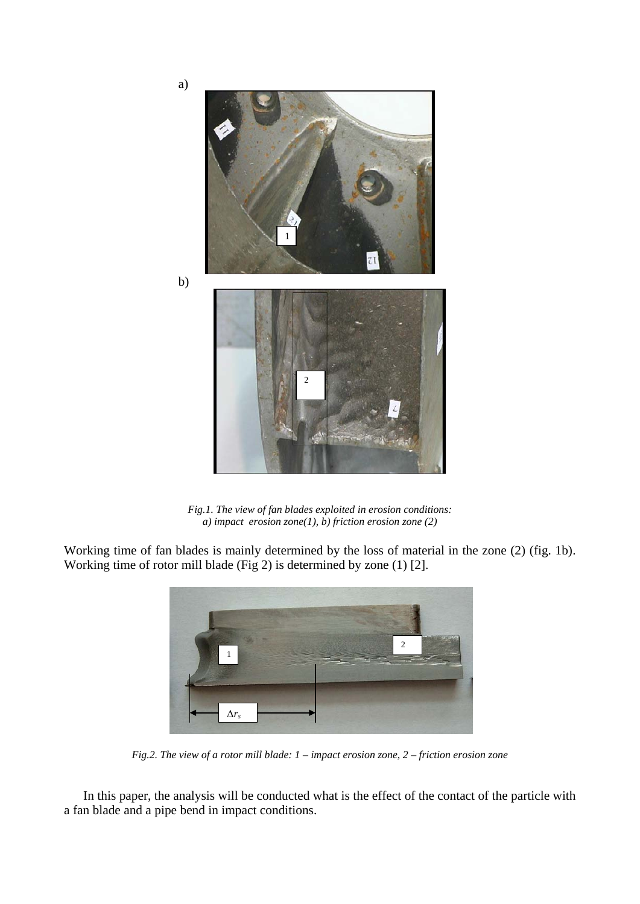

*Fig.1. The view of fan blades exploited in erosion conditions: a) impact erosion zone(1), b) friction erosion zone (2)*

Working time of fan blades is mainly determined by the loss of material in the zone (2) (fig. 1b). Working time of rotor mill blade (Fig 2) is determined by zone (1) [2].



*Fig.2. The view of a rotor mill blade: 1 – impact erosion zone, 2 – friction erosion zone*

In this paper, the analysis will be conducted what is the effect of the contact of the particle with a fan blade and a pipe bend in impact conditions.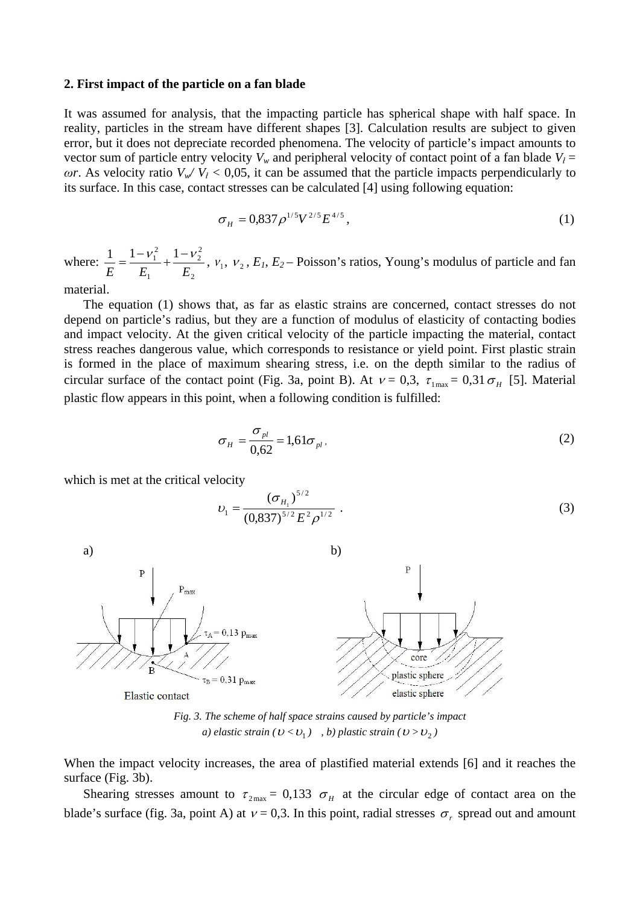#### **2. First impact of the particle on a fan blade**

It was assumed for analysis, that the impacting particle has spherical shape with half space. In reality, particles in the stream have different shapes [3]. Calculation results are subject to given error, but it does not depreciate recorded phenomena. The velocity of particle's impact amounts to vector sum of particle entry velocity  $V_w$  and peripheral velocity of contact point of a fan blade  $V_l$  = *ωr*. As velocity ratio  $V_w/V_t$  < 0,05, it can be assumed that the particle impacts perpendicularly to its surface. In this case, contact stresses can be calculated [4] using following equation:

$$
\sigma_H = 0.837 \rho^{1/5} V^{2/5} E^{4/5},\tag{1}
$$

where: 2 2 2 1  $1 - v_1^2$  1  $E=E_1E=E$  $=\frac{1-\nu_1^2}{E}+\frac{1-\nu_2^2}{E}$ ,  $v_1$ ,  $v_2$ ,  $E_1$ ,  $E_2$  – Poisson's ratios, Young's modulus of particle and fan

material.

The equation (1) shows that, as far as elastic strains are concerned, contact stresses do not depend on particle's radius, but they are a function of modulus of elasticity of contacting bodies and impact velocity. At the given critical velocity of the particle impacting the material, contact stress reaches dangerous value, which corresponds to resistance or yield point. First plastic strain is formed in the place of maximum shearing stress, i.e. on the depth similar to the radius of circular surface of the contact point (Fig. 3a, point B). At  $v = 0.3$ ,  $\tau_{1\text{max}} = 0.31 \sigma_{H}$  [5]. Material plastic flow appears in this point, when a following condition is fulfilled:

$$
\sigma_H = \frac{\sigma_{pl}}{0.62} = 1.61 \sigma_{pl},\qquad(2)
$$

which is met at the critical velocity

$$
v_1 = \frac{(\sigma_{H_1})^{5/2}}{(0.837)^{5/2} E^2 \rho^{1/2}} \ . \tag{3}
$$



*a) elastic strain*  $(U < U_1)$ , *b) plastic strain*  $(U > U_2)$ 

When the impact velocity increases, the area of plastified material extends [6] and it reaches the surface (Fig. 3b).

Shearing stresses amount to  $\tau_{2\text{max}} = 0.133 \sigma_H$  at the circular edge of contact area on the blade's surface (fig. 3a, point A) at  $v = 0,3$ . In this point, radial stresses  $\sigma_r$  spread out and amount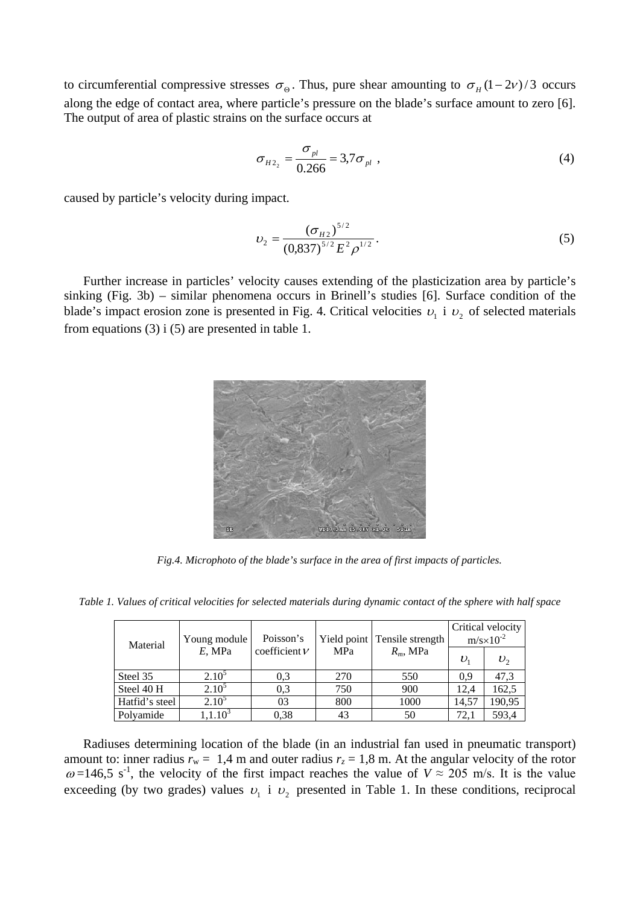to circumferential compressive stresses  $\sigma_{\Theta}$ . Thus, pure shear amounting to  $\sigma_H(1-2\nu)/3$  occurs along the edge of contact area, where particle's pressure on the blade's surface amount to zero [6]. The output of area of plastic strains on the surface occurs at

$$
\sigma_{H2_2} = \frac{\sigma_{pl}}{0.266} = 3.7 \sigma_{pl} , \qquad (4)
$$

caused by particle's velocity during impact.

$$
v_2 = \frac{(\sigma_{H2})^{5/2}}{(0.837)^{5/2} E^2 \rho^{1/2}}.
$$
 (5)

Further increase in particles' velocity causes extending of the plasticization area by particle's sinking (Fig. 3b) – similar phenomena occurs in Brinell's studies [6]. Surface condition of the blade's impact erosion zone is presented in Fig. 4. Critical velocities  $v_1$  i  $v_2$  of selected materials from equations  $(3)$  i  $(5)$  are presented in table 1.



*Fig.4. Microphoto of the blade's surface in the area of first impacts of particles.*

*Table 1. Values of critical velocities for selected materials during dynamic contact of the sphere with half space*

| Material       | Young module | Poisson's       |     | Yield point Tensile strength | Critical velocity<br>$m/s \times 10^{-2}$ |              |  |
|----------------|--------------|-----------------|-----|------------------------------|-------------------------------------------|--------------|--|
|                | $E$ , MPa    | coefficient $V$ | MPa | $R_m$ , MPa                  | $v_{1}$                                   | $v_{\gamma}$ |  |
| Steel 35       | $2.10^{5}$   | 0.3             | 270 | 550                          | 0.9                                       | 47,3         |  |
| Steel 40 H     | $2.10^5$     | 0.3             | 750 | 900                          | 12.4                                      | 162,5        |  |
| Hatfid's steel | $2.10^5$     | 03              | 800 | 1000                         | 14,57                                     | 190,95       |  |
| Polyamide      | $.1.10^{3}$  | 0,38            | 43  | 50                           | 72,1                                      | 593,4        |  |

Radiuses determining location of the blade (in an industrial fan used in pneumatic transport) amount to: inner radius  $r_w = 1.4$  m and outer radius  $r_z = 1.8$  m. At the angular velocity of the rotor  $\omega$ =146,5 s<sup>-1</sup>, the velocity of the first impact reaches the value of  $V \approx 205$  m/s. It is the value exceeding (by two grades) values  $v_1$  i  $v_2$  presented in Table 1. In these conditions, reciprocal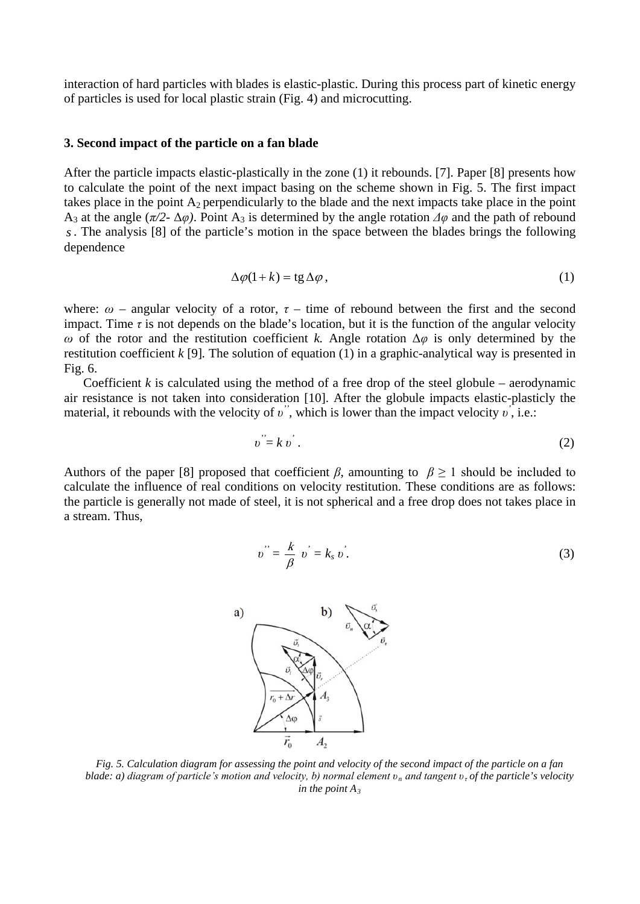interaction of hard particles with blades is elastic-plastic. During this process part of kinetic energy of particles is used for local plastic strain (Fig. 4) and microcutting.

## **3. Second impact of the particle on a fan blade**

After the particle impacts elastic-plastically in the zone (1) it rebounds. [7]. Paper [8] presents how to calculate the point of the next impact basing on the scheme shown in Fig. 5. The first impact takes place in the point  $A_2$  perpendicularly to the blade and the next impacts take place in the point A<sub>3</sub> at the angle ( $\pi/2$ - Δ*φ*). Point A<sub>3</sub> is determined by the angle rotation  $\Delta\varphi$  and the path of rebound *s*. The analysis [8] of the particle's motion in the space between the blades brings the following dependence

$$
\Delta \varphi(1+k) = \text{tg}\,\Delta \varphi\,,\tag{1}
$$

where:  $\omega$  – angular velocity of a rotor,  $\tau$  – time of rebound between the first and the second impact. Time  $\tau$  is not depends on the blade's location, but it is the function of the angular velocity *ω* of the rotor and the restitution coefficient *k.* Angle rotation Δ*φ* is only determined by the restitution coefficient *k* [9]*.* The solution of equation (1) in a graphic-analytical way is presented in Fig. 6.

Coefficient  $k$  is calculated using the method of a free drop of the steel globule – aerodynamic air resistance is not taken into consideration [10]. After the globule impacts elastic-plasticly the material, it rebounds with the velocity of *v*<sup>''</sup>, which is lower than the impact velocity *v*<sup>'</sup>, i.e.:

$$
v = k v'.
$$
 (2)

Authors of the paper [8] proposed that coefficient  $\beta$ , amounting to  $\beta \ge 1$  should be included to calculate the influence of real conditions on velocity restitution. These conditions are as follows: the particle is generally not made of steel, it is not spherical and a free drop does not takes place in a stream. Thus,

$$
v'' = \frac{k}{\beta} v' = k_s v'.
$$
 (3)



*Fig. 5. Calculation diagram for assessing the point and velocity of the second impact of the particle on a fan blade: a) diagram of particle's motion and velocity, b) normal element υ<sup>n</sup> and tangent υτ of the particle's velocity in the point*  $A_3$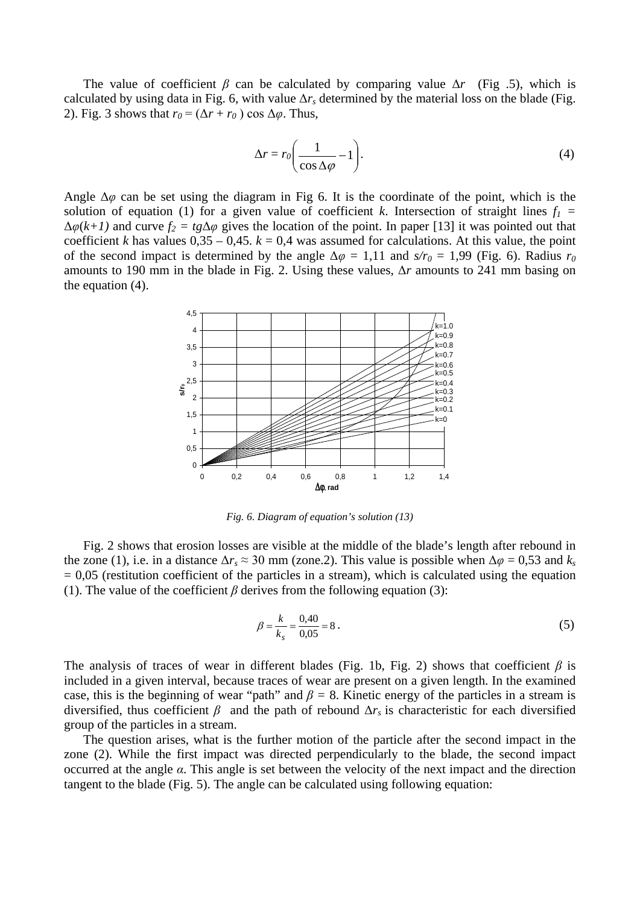The value of coefficient  $\beta$  can be calculated by comparing value  $\Delta r$  (Fig .5), which is calculated by using data in Fig. 6, with value Δ*rs* determined by the material loss on the blade (Fig. 2). Fig. 3 shows that  $r_0 = (\Delta r + r_0) \cos \Delta \varphi$ . Thus,

$$
\Delta r = r_0 \left( \frac{1}{\cos \Delta \varphi} - 1 \right). \tag{4}
$$

Angle  $\Delta\varphi$  can be set using the diagram in Fig 6. It is the coordinate of the point, which is the solution of equation (1) for a given value of coefficient *k*. Intersection of straight lines  $f_1$  =  $\Delta \varphi(k+1)$  and curve  $f_2 = tg \Delta \varphi$  gives the location of the point. In paper [13] it was pointed out that coefficient *k* has values  $0,35 - 0,45$ .  $k = 0,4$  was assumed for calculations. At this value, the point of the second impact is determined by the angle  $\Delta \varphi = 1,11$  and  $s/r_0 = 1,99$  (Fig. 6). Radius  $r_0$ amounts to 190 mm in the blade in Fig. 2. Using these values, Δ*r* amounts to 241 mm basing on the equation (4).



*Fig. 6. Diagram of equation's solution (13)*

Fig. 2 shows that erosion losses are visible at the middle of the blade's length after rebound in the zone (1), i.e. in a distance  $\Delta r_s \approx 30$  mm (zone.2). This value is possible when  $\Delta \varphi = 0.53$  and  $k_s$  $= 0.05$  (restitution coefficient of the particles in a stream), which is calculated using the equation (1). The value of the coefficient  $\beta$  derives from the following equation (3):

$$
\beta = \frac{k}{k_s} = \frac{0.40}{0.05} = 8 \ . \tag{5}
$$

The analysis of traces of wear in different blades (Fig. 1b, Fig. 2) shows that coefficient  $\beta$  is included in a given interval, because traces of wear are present on a given length. In the examined case, this is the beginning of wear "path" and  $\beta = 8$ . Kinetic energy of the particles in a stream is diversified, thus coefficient  $\beta$  and the path of rebound  $\Delta r_s$  is characteristic for each diversified group of the particles in a stream.

The question arises, what is the further motion of the particle after the second impact in the zone (2). While the first impact was directed perpendicularly to the blade, the second impact occurred at the angle *α*. This angle is set between the velocity of the next impact and the direction tangent to the blade (Fig. 5). The angle can be calculated using following equation: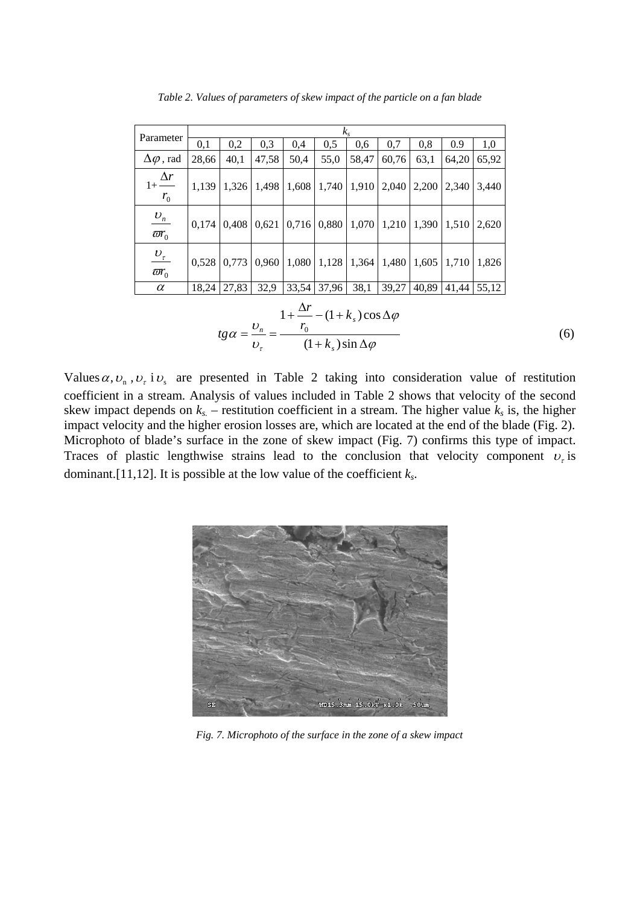| Parameter                                                                                                                     | $k_{s}$ |                                                                                         |       |       |             |               |       |                         |             |       |
|-------------------------------------------------------------------------------------------------------------------------------|---------|-----------------------------------------------------------------------------------------|-------|-------|-------------|---------------|-------|-------------------------|-------------|-------|
|                                                                                                                               | 0,1     | 0,2                                                                                     | 0,3   | 0,4   | 0,5         | 0,6           | 0,7   | 0,8                     | 0.9         | 1,0   |
| $\Delta\varphi$ , rad                                                                                                         | 28,66   | 40,1                                                                                    | 47,58 | 50,4  | 55,0        | 58,47         | 60,76 | 63,1                    | 64,20       | 65,92 |
| $1+\frac{\Delta r}{r}$<br>$r_{0}$                                                                                             | 1,139   | 1,326                                                                                   | 1,498 | 1,608 |             | $1,740$ 1,910 |       | $2,040$   2,200   2,340 |             | 3,440 |
| $\frac{U_n}{\varpi r_0}$                                                                                                      |         | $0,174$   $0,408$   $0,621$   $0,716$   $0,880$   $1,070$   $1,210$   $1,390$   $1,510$ |       |       |             |               |       |                         |             | 2,620 |
| $\frac{\upsilon_{\mathrm{r}}}{\varpi r_{\mathrm{0}}}$                                                                         |         | $0,528$   0,773   0,960   1,080   1,128   1,364   1,480   1,605   1,710   1,826         |       |       |             |               |       |                         |             |       |
| $\alpha$                                                                                                                      |         | 18,24 27,83                                                                             | 32,9  |       | 33,54 37,96 | 38,1          | 39,27 |                         | 40,89 41,44 | 55,12 |
| $1+\frac{\Delta r}{r}-(1+k_s)\cos \Delta \varphi$<br>$tg\alpha = \frac{v_n}{v_\tau} = \frac{r_0}{(1+k_s)\sin \Delta \varphi}$ |         |                                                                                         |       |       |             |               |       |                         |             |       |

*Table 2. Values of parameters of skew impact of the particle on a fan blade*

Values  $\alpha$ ,  $v_n$ ,  $v_{\tau}$  i  $v_s$  are presented in Table 2 taking into consideration value of restitution coefficient in a stream. Analysis of values included in Table 2 shows that velocity of the second skew impact depends on  $k_s$  – restitution coefficient in a stream. The higher value  $k_s$  is, the higher impact velocity and the higher erosion losses are, which are located at the end of the blade (Fig. 2). Microphoto of blade's surface in the zone of skew impact (Fig. 7) confirms this type of impact. Traces of plastic lengthwise strains lead to the conclusion that velocity component  $v<sub>r</sub>$  is dominant.[11,12]. It is possible at the low value of the coefficient *ks*.



*Fig. 7. Microphoto of the surface in the zone of a skew impact*